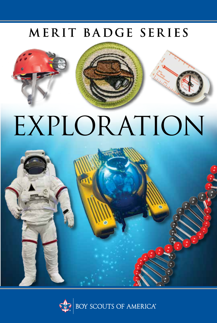## MERIT BADGE SERIES



# EXPLORATION



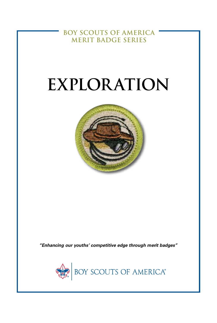**BOY SCOUTS OF AMERICA MERIT BADGE SERIES**

## **EXPLORATION**



*"Enhancing our youths' competitive edge through merit badges"*

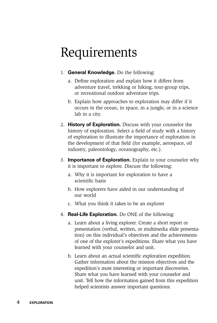## Requirements

- 1. **General Knowledge.** Do the following:
	- a. Define exploration and explain how it differs from adventure travel, trekking or hiking, tour-group trips, or recreational outdoor adventure trips.
	- b. Explain how approaches to exploration may differ if it occurs in the ocean, in space, in a jungle, or in a science lab in a city.
- 2. **History of Exploration.** Discuss with your counselor the history of exploration. Select a field of study with a history of exploration to illustrate the importance of exploration in the development of that field (for example, aerospace, oil industry, paleontology, oceanography, etc.).
- 3. **Importance of Exploration.** Explain to your counselor why it is important to explore. Discuss the following:
	- a. Why it is important for exploration to have a scientific basis
	- b. How explorers have aided in our understanding of our world
	- c. What you think it takes to be an explorer
- 4. **Real-Life Exploration.** Do ONE of the following:
	- a. Learn about a living explorer. Create a short report or presentation (verbal, written, or multimedia slide presentation) on this individual's objectives and the achievements of one of the explorer's expeditions. Share what you have learned with your counselor and unit.
	- b. Learn about an actual scientific exploration expedition. Gather information about the mission objectives and the expedition's most interesting or important discoveries. Share what you have learned with your counselor and unit. Tell how the information gained from this expedition helped scientists answer important questions.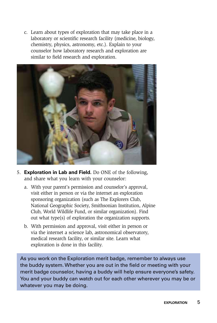c. Learn about types of exploration that may take place in a laboratory or scientific research facility (medicine, biology, chemistry, physics, astronomy, etc.). Explain to your counselor how laboratory research and exploration are similar to field research and exploration.



- 5. **Exploration in Lab and Field.** Do ONE of the following, and share what you learn with your counselor:
	- a. With your parent's permission and counselor's approval, visit either in person or via the internet an exploration sponsoring organization (such as The Explorers Club, National Geographic Society, Smithsonian Institution, Alpine Club, World Wildlife Fund, or similar organization). Find out what type(s) of exploration the organization supports.
	- b. With permission and approval, visit either in person or via the internet a science lab, astronomical observatory, medical research facility, or similar site. Learn what exploration is done in this facility.

As you work on the Exploration merit badge, remember to always use the buddy system. Whether you are out in the field or meeting with your merit badge counselor, having a buddy will help ensure everyone's safety. You and your buddy can watch out for each other wherever you may be or whatever you may be doing.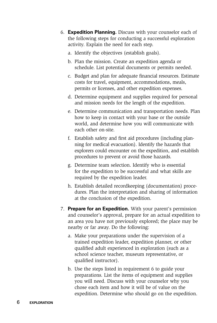- 6. **Expedition Planning.** Discuss with your counselor each of the following steps for conducting a successful exploration activity. Explain the need for each step.
	- a. Identify the objectives (establish goals).
	- b. Plan the mission. Create an expedition agenda or schedule. List potential documents or permits needed.
	- c. Budget and plan for adequate financial resources. Estimate costs for travel, equipment, accommodations, meals, permits or licenses, and other expedition expenses.
	- d. Determine equipment and supplies required for personal and mission needs for the length of the expedition.
	- e. Determine communication and transportation needs. Plan how to keep in contact with your base or the outside world, and determine how you will communicate with each other on-site.
	- f. Establish safety and first aid procedures (including planning for medical evacuation). Identify the hazards that explorers could encounter on the expedition, and establish procedures to prevent or avoid those hazards.
	- g. Determine team selection. Identify who is essential for the expedition to be successful and what skills are required by the expedition leader.
	- h. Establish detailed recordkeeping (documentation) procedures. Plan the interpretation and sharing of information at the conclusion of the expedition.
- 7. **Prepare for an Expedition.** With your parent's permission and counselor's approval, prepare for an actual expedition to an area you have not previously explored; the place may be nearby or far away. Do the following:
	- a. Make your preparations under the supervision of a trained expedition leader, expedition planner, or other qualified adult experienced in exploration (such as a school science teacher, museum representative, or qualified instructor).
	- b. Use the steps listed in requirement 6 to guide your preparations. List the items of equipment and supplies you will need. Discuss with your counselor why you chose each item and how it will be of value on the expedition. Determine who should go on the expedition.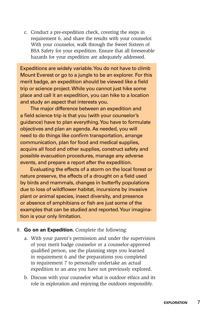c. Conduct a pre-expedition check, covering the steps in requirement 6, and share the results with your counselor. With your counselor, walk through the Sweet Sixteen of BSA Safety for your expedition. Ensure that all foreseeable hazards for your expedition are adequately addressed.

Expeditions are widely variable. You do not have to climb Mount Everest or go to a jungle to be an explorer. For this merit badge, an expedition should be viewed like a field trip or science project. While you cannot just hike some place and call it an expedition, you can hike to a location and study an aspect that interests you.

The major difference between an expedition and a field science trip is that you (with your counselor's guidance) have to plan everything. You have to formulate objectives and plan an agenda. As needed, you will need to do things like confirm transportation, arrange communication, plan for food and medical supplies, acquire all food and other supplies, construct safety and possible evacuation procedures, manage any adverse events, and prepare a report after the expedition.

Evaluating the effects of a storm on the local forest or nature preserve, the effects of a drought on a field used by birds and mammals, changes in butterfly populations due to loss of wildflower habitat, incursions by invasive plant or animal species, insect diversity, and presence or absence of amphibians or fish are just some of the examples that can be studied and reported. Your imagination is your only limitation.

- 8. **Go on an Expedition.** Complete the following:
	- a. With your parent's permission and under the supervision of your merit badge counselor or a counselor-approved qualified person, use the planning steps you learned in requirement 6 and the preparations you completed in requirement 7 to personally undertake an actual expedition to an area you have not previously explored.
	- b. Discuss with your counselor what is outdoor ethics and its role in exploration and enjoying the outdoors responsibly.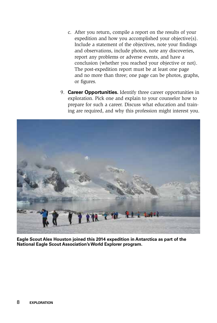- c. After you return, compile a report on the results of your expedition and how you accomplished your objective(s). Include a statement of the objectives, note your findings and observations, include photos, note any discoveries, report any problems or adverse events, and have a conclusion (whether you reached your objective or not). The post-expedition report must be at least one page and no more than three; one page can be photos, graphs, or figures.
- 9. **Career Opportunities.** Identify three career opportunities in exploration. Pick one and explain to your counselor how to prepare for such a career. Discuss what education and training are required, and why this profession might interest you.



**Eagle Scout Alex Houston joined this 2014 expedition in Antarctica as part of the National Eagle Scout Association's World Explorer program.**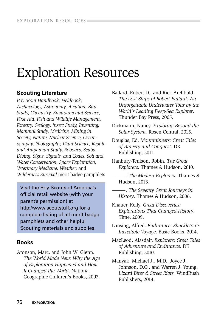## Exploration Resources

#### **Scouting Literature**

*Boy Scout Handbook; Fieldbook; Archaeology, Astronomy, Aviation, Bird Study, Chemistry, Environmental Science, First Aid, Fish and Wildlife Management, Forestry, Geology, Insect Study, Inventing, Mammal Study, Medicine, Mining in Society, Nature, Nuclear Science, Oceanography, Photography, Plant Science, Reptile and Amphibian Study, Robotics, Scuba Diving, Signs, Signals, and Codes, Soil and Water Conservation, Space Exploration, Veterinary Medicine, Weather,* and *Wilderness Survival* merit badge pamphlets

Visit the Boy Scouts of America's official retail website (with your parent's permission) at http://www.scoutstuff.org for a complete listing of all merit badge pamphlets and other helpful Scouting materials and supplies.

#### **Books**

Aronson, Marc, and John W. Glenn. *The World Made New: Why the Age of Exploration Happened and How It Changed the World*. National Geographic Children's Books, 2007.

- Ballard, Robert D., and Rick Archbold. *The Lost Ships of Robert Ballard: An Unforgettable Underwater Tour by the World's Leading Deep-Sea Explorer*. Thunder Bay Press, 2005.
- Dickmann, Nancy. *Exploring Beyond the Solar System.* Rosen Central, 2015.
- Douglas, Ed. *Mountaineers: Great Tales of Bravery and Conquest*. DK Publishing, 2011.
- Hanbury-Tenison, Robin. *The Great Explorers.* Thames & Hudson, 2010.
- ———. *The Modern Explorers.* Thames & Hudson, 2013.
	- ———. *The Seventy Great Journeys in History*. Thames & Hudson, 2006.
- Knauer, Kelly. *Great Discoveries: Explorations That Changed History*. Time, 2009.
- Lansing, Alfred. *Endurance: Shackleton's Incredible Voyage*. Basic Books, 2014.
- MacLeod, Alasdair. *Explorers: Great Tales of Adventure and Endurance*. DK Publishing, 2010.
- Manyak, Michael J., M.D., Joyce J. Johnson, D.O., and Warren J. Young. *Lizard Bites & Street Riots.* WindRush Publishers, 2014.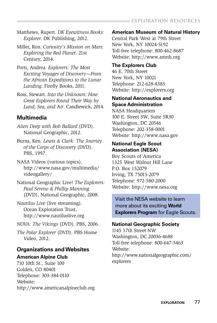**.EXPLORATION RESOURCES**

- Matthews, Rupert. *DK Eyewitness Books: Explorer.* DK Publishing, 2012.
- Miller, Ron. *Curiosity's Mission on Mars: Exploring the Red Planet*. 21st Century, 2014.
- Porti, Andrea. *Explorers: The Most Exciting Voyages of Discovery—From the African Expeditions to the Lunar Landing*. Firefly Books, 2011.
- Ross, Stewart. *Into the Unknown: How Great Explorers Found Their Way by Land, Sea, and Air*. Candlewick, 2014.

#### **Multimedia**

*Alien Deep with Bob Ballard* (DVD). National Geographic, 2012.

Burns, Ken. *Lewis & Clark: The Journey of the Corps of Discovery* (DVD). PBS, 1997.

NASA Videos (various topics), http://www.nasa.gov/multimedia/ videogallery/

National Geographic Live! *The Explorers: Paul Sereno & Phillip Manning*  (DVD), National Geographic, 2008.

- *Nautilus Live* (live streaming). Ocean Exploration Trust, http://www.nautiluslive.org
- *NOVA: The Vikings* (DVD). PBS, 2006.

*The Polar Explorer* (DVD). PBS Home Video, 2012.

#### **Organizations and Websites American Alpine Club**

710 10th St., Suite 100 Golden, CO 80401 Telephone: 303-384-0110 Website: http://www.americanalpineclub.org

#### **American Museum of Natural History**

Central Park West at 79th Street New York, NY 10024-5192 Toll-free telephone: 800-462-8687 Website: http://www.amnh.org

#### **The Explorers Club**

46 E. 70th Street New York, NY 10021 Telephone: 212-628-8383 Website: http://explorers.org

#### **National Aeronautics and Space Administration**

NASA Headquarters 300 E. Street SW, Suite 5R30 Washington, DC 20546 Telephone: 202-358-0001 Website: http://www.nasa.gov

#### **National Eagle Scout Association (NESA)**

Boy Scouts of America 1325 West Walnut Hill Lane P.O. Box 152079 Irving, TX 75015-2079 Telephone: 972-580-2000 Website: http://www.nesa.org

Visit the NESA website to learn more about its exciting **World Explorers Program** for Eagle Scouts.

#### **National Geographic Society**

1145 17th Street NW Washington, DC 20036-4688 Toll-free telephone: 800-647-5463 Website: http://www.nationalgeographic.com/ explorers